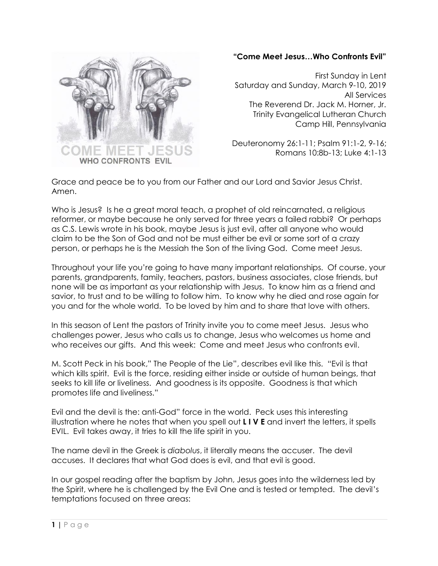

## **"Come Meet Jesus…Who Confronts Evil"**

First Sunday in Lent Saturday and Sunday, March 9-10, 2019 All Services The Reverend Dr. Jack M. Horner, Jr. Trinity Evangelical Lutheran Church Camp Hill, Pennsylvania

Deuteronomy 26:1-11; Psalm 91:1-2, 9-16; Romans 10:8b-13; Luke 4:1-13

Grace and peace be to you from our Father and our Lord and Savior Jesus Christ. Amen.

Who is Jesus? Is he a great moral teach, a prophet of old reincarnated, a religious reformer, or maybe because he only served for three years a failed rabbi? Or perhaps as C.S. Lewis wrote in his book, maybe Jesus is just evil, after all anyone who would claim to be the Son of God and not be must either be evil or some sort of a crazy person, or perhaps he is the Messiah the Son of the living God. Come meet Jesus.

Throughout your life you're going to have many important relationships. Of course, your parents, grandparents, family, teachers, pastors, business associates, close friends, but none will be as important as your relationship with Jesus. To know him as a friend and savior, to trust and to be willing to follow him. To know why he died and rose again for you and for the whole world. To be loved by him and to share that love with others.

In this season of Lent the pastors of Trinity invite you to come meet Jesus. Jesus who challenges power, Jesus who calls us to change, Jesus who welcomes us home and who receives our gifts. And this week: Come and meet Jesus who confronts evil.

M. Scott Peck in his book," The People of the Lie", describes evil like this. "Evil is that which kills spirit. Evil is the force, residing either inside or outside of human beings, that seeks to kill life or liveliness. And goodness is its opposite. Goodness is that which promotes life and liveliness."

Evil and the devil is the: anti-God" force in the world. Peck uses this interesting illustration where he notes that when you spell out **L I V E** and invert the letters, it spells EVIL. Evil takes away, it tries to kill the life spirit in you.

The name devil in the Greek is *diabolus*, it literally means the accuser. The devil accuses. It declares that what God does is evil, and that evil is good.

In our gospel reading after the baptism by John, Jesus goes into the wilderness led by the Spirit, where he is challenged by the Evil One and is tested or tempted. The devil's temptations focused on three areas: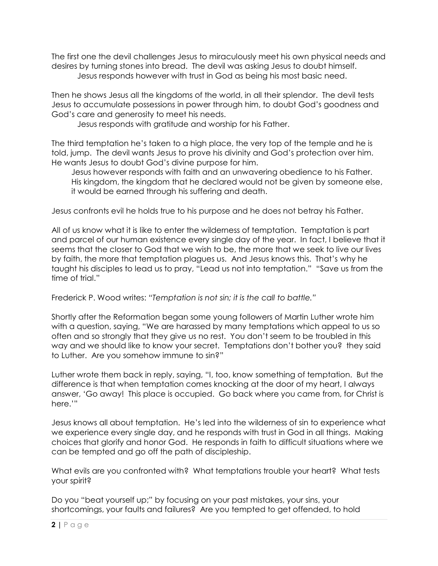The first one the devil challenges Jesus to miraculously meet his own physical needs and desires by turning stones into bread. The devil was asking Jesus to doubt himself. Jesus responds however with trust in God as being his most basic need.

Then he shows Jesus all the kingdoms of the world, in all their splendor. The devil tests Jesus to accumulate possessions in power through him, to doubt God's goodness and God's care and generosity to meet his needs.

Jesus responds with gratitude and worship for his Father.

The third temptation he's taken to a high place, the very top of the temple and he is told, jump. The devil wants Jesus to prove his divinity and God's protection over him. He wants Jesus to doubt God's divine purpose for him.

Jesus however responds with faith and an unwavering obedience to his Father. His kingdom, the kingdom that he declared would not be given by someone else, it would be earned through his suffering and death.

Jesus confronts evil he holds true to his purpose and he does not betray his Father.

All of us know what it is like to enter the wilderness of temptation. Temptation is part and parcel of our human existence every single day of the year. In fact, I believe that it seems that the closer to God that we wish to be, the more that we seek to live our lives by faith, the more that temptation plagues us. And Jesus knows this. That's why he taught his disciples to lead us to pray, "Lead us not into temptation." "Save us from the time of trial."

Frederick P. Wood writes: "*Temptation is not sin; it is the call to battle."* 

Shortly after the Reformation began some young followers of Martin Luther wrote him with a question, saying, "We are harassed by many temptations which appeal to us so often and so strongly that they give us no rest. You don't seem to be troubled in this way and we should like to know your secret. Temptations don't bother you? they said to Luther. Are you somehow immune to sin?"

Luther wrote them back in reply, saying, "I, too, know something of temptation. But the difference is that when temptation comes knocking at the door of my heart, I always answer, 'Go away! This place is occupied. Go back where you came from, for Christ is here.'"

Jesus knows all about temptation. He's led into the wilderness of sin to experience what we experience every single day, and he responds with trust in God in all things. Making choices that glorify and honor God. He responds in faith to difficult situations where we can be tempted and go off the path of discipleship.

What evils are you confronted with? What temptations trouble your heart? What tests your spirit?

Do you "beat yourself up;" by focusing on your past mistakes, your sins, your shortcomings, your faults and failures? Are you tempted to get offended, to hold